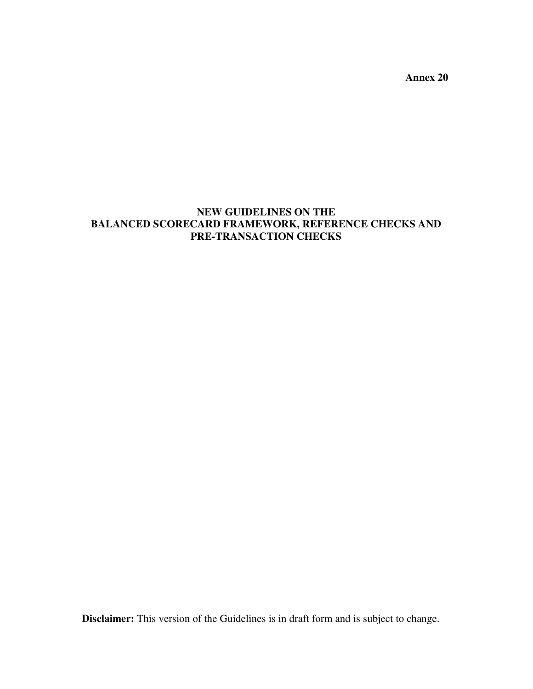**Annex 20** 

# **NEW GUIDELINES ON THE BALANCED SCORECARD FRAMEWORK, REFERENCE CHECKS AND PRE-TRANSACTION CHECKS**

**Disclaimer:** This version of the Guidelines is in draft form and is subject to change.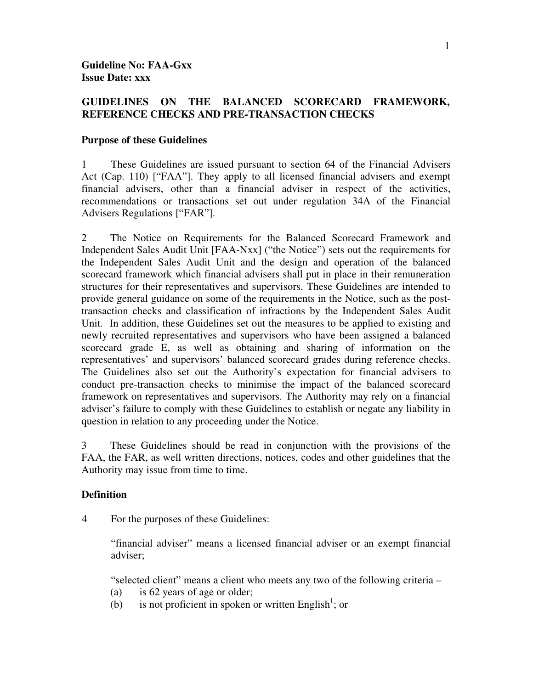## **GUIDELINES ON THE BALANCED SCORECARD FRAMEWORK, REFERENCE CHECKS AND PRE-TRANSACTION CHECKS**

#### **Purpose of these Guidelines**

1 These Guidelines are issued pursuant to section 64 of the Financial Advisers Act (Cap. 110) ["FAA"]. They apply to all licensed financial advisers and exempt financial advisers, other than a financial adviser in respect of the activities, recommendations or transactions set out under regulation 34A of the Financial Advisers Regulations ["FAR"].

2 The Notice on Requirements for the Balanced Scorecard Framework and Independent Sales Audit Unit [FAA-Nxx] ("the Notice") sets out the requirements for the Independent Sales Audit Unit and the design and operation of the balanced scorecard framework which financial advisers shall put in place in their remuneration structures for their representatives and supervisors. These Guidelines are intended to provide general guidance on some of the requirements in the Notice, such as the posttransaction checks and classification of infractions by the Independent Sales Audit Unit. In addition, these Guidelines set out the measures to be applied to existing and newly recruited representatives and supervisors who have been assigned a balanced scorecard grade E, as well as obtaining and sharing of information on the representatives' and supervisors' balanced scorecard grades during reference checks. The Guidelines also set out the Authority's expectation for financial advisers to conduct pre-transaction checks to minimise the impact of the balanced scorecard framework on representatives and supervisors. The Authority may rely on a financial adviser's failure to comply with these Guidelines to establish or negate any liability in question in relation to any proceeding under the Notice.

3 These Guidelines should be read in conjunction with the provisions of the FAA, the FAR, as well written directions, notices, codes and other guidelines that the Authority may issue from time to time.

## **Definition**

4 For the purposes of these Guidelines:

"financial adviser" means a licensed financial adviser or an exempt financial adviser;

"selected client" means a client who meets any two of the following criteria –

- (a) is 62 years of age or older;
- (b) is not proficient in spoken or written English<sup>1</sup>; or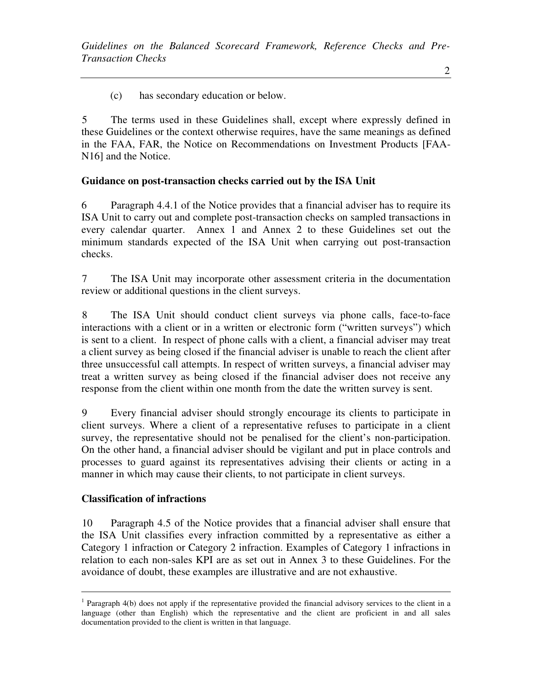(c) has secondary education or below.

5 The terms used in these Guidelines shall, except where expressly defined in these Guidelines or the context otherwise requires, have the same meanings as defined in the FAA, FAR, the Notice on Recommendations on Investment Products [FAA-N16] and the Notice.

# **Guidance on post-transaction checks carried out by the ISA Unit**

6 Paragraph 4.4.1 of the Notice provides that a financial adviser has to require its ISA Unit to carry out and complete post-transaction checks on sampled transactions in every calendar quarter. Annex 1 and Annex 2 to these Guidelines set out the minimum standards expected of the ISA Unit when carrying out post-transaction checks.

7 The ISA Unit may incorporate other assessment criteria in the documentation review or additional questions in the client surveys.

8 The ISA Unit should conduct client surveys via phone calls, face-to-face interactions with a client or in a written or electronic form ("written surveys") which is sent to a client. In respect of phone calls with a client, a financial adviser may treat a client survey as being closed if the financial adviser is unable to reach the client after three unsuccessful call attempts. In respect of written surveys, a financial adviser may treat a written survey as being closed if the financial adviser does not receive any response from the client within one month from the date the written survey is sent.

9 Every financial adviser should strongly encourage its clients to participate in client surveys. Where a client of a representative refuses to participate in a client survey, the representative should not be penalised for the client's non-participation. On the other hand, a financial adviser should be vigilant and put in place controls and processes to guard against its representatives advising their clients or acting in a manner in which may cause their clients, to not participate in client surveys.

## **Classification of infractions**

 $\overline{a}$ 

10 Paragraph 4.5 of the Notice provides that a financial adviser shall ensure that the ISA Unit classifies every infraction committed by a representative as either a Category 1 infraction or Category 2 infraction. Examples of Category 1 infractions in relation to each non-sales KPI are as set out in Annex 3 to these Guidelines. For the avoidance of doubt, these examples are illustrative and are not exhaustive.

<sup>&</sup>lt;sup>1</sup> Paragraph 4(b) does not apply if the representative provided the financial advisory services to the client in a language (other than English) which the representative and the client are proficient in and all sales documentation provided to the client is written in that language.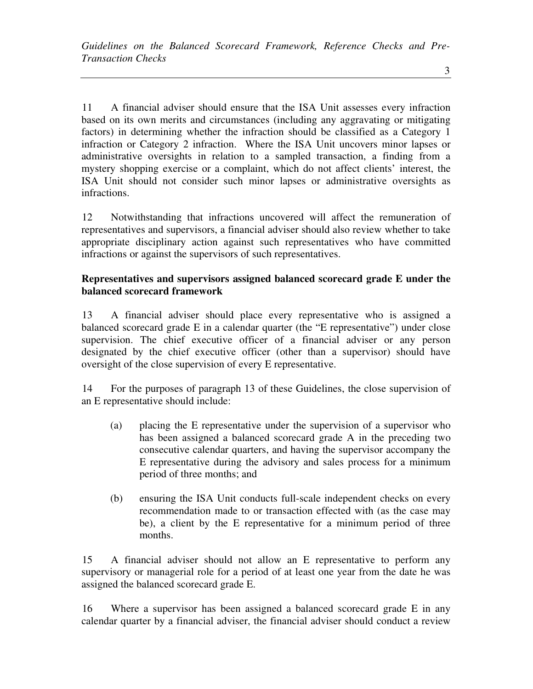11 A financial adviser should ensure that the ISA Unit assesses every infraction based on its own merits and circumstances (including any aggravating or mitigating factors) in determining whether the infraction should be classified as a Category 1 infraction or Category 2 infraction. Where the ISA Unit uncovers minor lapses or administrative oversights in relation to a sampled transaction, a finding from a mystery shopping exercise or a complaint, which do not affect clients' interest, the ISA Unit should not consider such minor lapses or administrative oversights as infractions.

12 Notwithstanding that infractions uncovered will affect the remuneration of representatives and supervisors, a financial adviser should also review whether to take appropriate disciplinary action against such representatives who have committed infractions or against the supervisors of such representatives.

# **Representatives and supervisors assigned balanced scorecard grade E under the balanced scorecard framework**

13 A financial adviser should place every representative who is assigned a balanced scorecard grade E in a calendar quarter (the "E representative") under close supervision. The chief executive officer of a financial adviser or any person designated by the chief executive officer (other than a supervisor) should have oversight of the close supervision of every E representative.

14 For the purposes of paragraph 13 of these Guidelines, the close supervision of an E representative should include:

- (a) placing the E representative under the supervision of a supervisor who has been assigned a balanced scorecard grade A in the preceding two consecutive calendar quarters, and having the supervisor accompany the E representative during the advisory and sales process for a minimum period of three months; and
- (b) ensuring the ISA Unit conducts full-scale independent checks on every recommendation made to or transaction effected with (as the case may be), a client by the E representative for a minimum period of three months.

15 A financial adviser should not allow an E representative to perform any supervisory or managerial role for a period of at least one year from the date he was assigned the balanced scorecard grade E.

16 Where a supervisor has been assigned a balanced scorecard grade E in any calendar quarter by a financial adviser, the financial adviser should conduct a review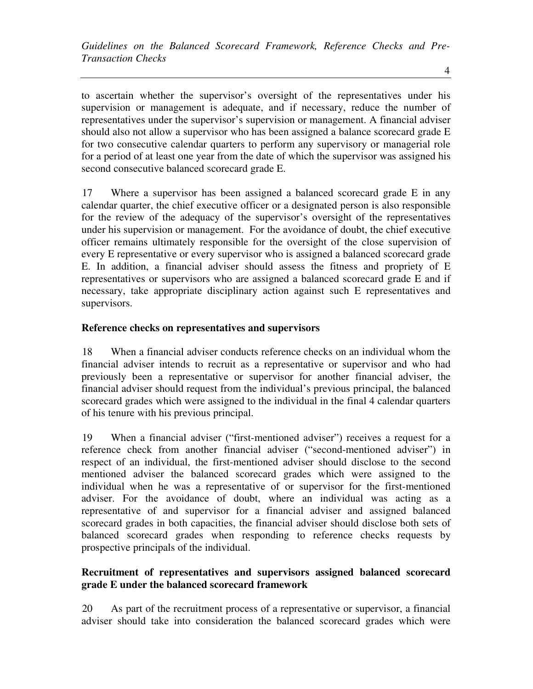to ascertain whether the supervisor's oversight of the representatives under his supervision or management is adequate, and if necessary, reduce the number of representatives under the supervisor's supervision or management. A financial adviser should also not allow a supervisor who has been assigned a balance scorecard grade E for two consecutive calendar quarters to perform any supervisory or managerial role for a period of at least one year from the date of which the supervisor was assigned his second consecutive balanced scorecard grade E.

17 Where a supervisor has been assigned a balanced scorecard grade E in any calendar quarter, the chief executive officer or a designated person is also responsible for the review of the adequacy of the supervisor's oversight of the representatives under his supervision or management. For the avoidance of doubt, the chief executive officer remains ultimately responsible for the oversight of the close supervision of every E representative or every supervisor who is assigned a balanced scorecard grade E. In addition, a financial adviser should assess the fitness and propriety of E representatives or supervisors who are assigned a balanced scorecard grade E and if necessary, take appropriate disciplinary action against such E representatives and supervisors.

# **Reference checks on representatives and supervisors**

18 When a financial adviser conducts reference checks on an individual whom the financial adviser intends to recruit as a representative or supervisor and who had previously been a representative or supervisor for another financial adviser, the financial adviser should request from the individual's previous principal, the balanced scorecard grades which were assigned to the individual in the final 4 calendar quarters of his tenure with his previous principal.

19 When a financial adviser ("first-mentioned adviser") receives a request for a reference check from another financial adviser ("second-mentioned adviser") in respect of an individual, the first-mentioned adviser should disclose to the second mentioned adviser the balanced scorecard grades which were assigned to the individual when he was a representative of or supervisor for the first-mentioned adviser. For the avoidance of doubt, where an individual was acting as a representative of and supervisor for a financial adviser and assigned balanced scorecard grades in both capacities, the financial adviser should disclose both sets of balanced scorecard grades when responding to reference checks requests by prospective principals of the individual.

# **Recruitment of representatives and supervisors assigned balanced scorecard grade E under the balanced scorecard framework**

20 As part of the recruitment process of a representative or supervisor, a financial adviser should take into consideration the balanced scorecard grades which were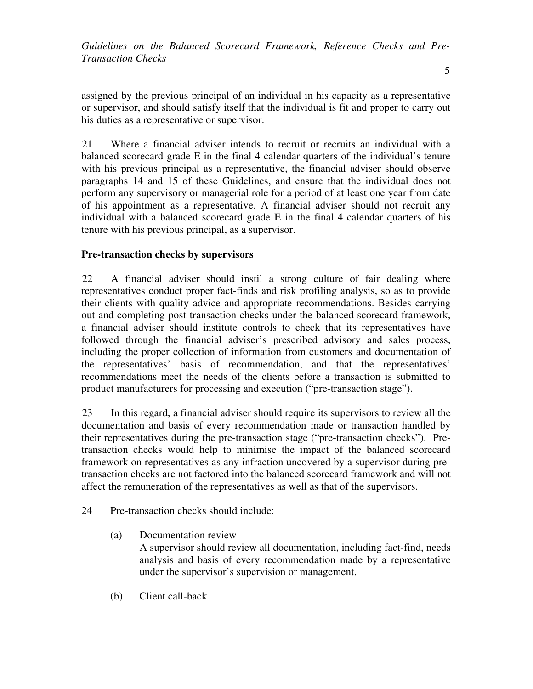assigned by the previous principal of an individual in his capacity as a representative or supervisor, and should satisfy itself that the individual is fit and proper to carry out his duties as a representative or supervisor.

21 Where a financial adviser intends to recruit or recruits an individual with a balanced scorecard grade E in the final 4 calendar quarters of the individual's tenure with his previous principal as a representative, the financial adviser should observe paragraphs 14 and 15 of these Guidelines, and ensure that the individual does not perform any supervisory or managerial role for a period of at least one year from date of his appointment as a representative. A financial adviser should not recruit any individual with a balanced scorecard grade E in the final 4 calendar quarters of his tenure with his previous principal, as a supervisor.

# **Pre-transaction checks by supervisors**

22 A financial adviser should instil a strong culture of fair dealing where representatives conduct proper fact-finds and risk profiling analysis, so as to provide their clients with quality advice and appropriate recommendations. Besides carrying out and completing post-transaction checks under the balanced scorecard framework, a financial adviser should institute controls to check that its representatives have followed through the financial adviser's prescribed advisory and sales process, including the proper collection of information from customers and documentation of the representatives' basis of recommendation, and that the representatives' recommendations meet the needs of the clients before a transaction is submitted to product manufacturers for processing and execution ("pre-transaction stage").

23 In this regard, a financial adviser should require its supervisors to review all the documentation and basis of every recommendation made or transaction handled by their representatives during the pre-transaction stage ("pre-transaction checks"). Pretransaction checks would help to minimise the impact of the balanced scorecard framework on representatives as any infraction uncovered by a supervisor during pretransaction checks are not factored into the balanced scorecard framework and will not affect the remuneration of the representatives as well as that of the supervisors.

- 24 Pre-transaction checks should include:
	- (a) Documentation review A supervisor should review all documentation, including fact-find, needs analysis and basis of every recommendation made by a representative

under the supervisor's supervision or management.

(b) Client call-back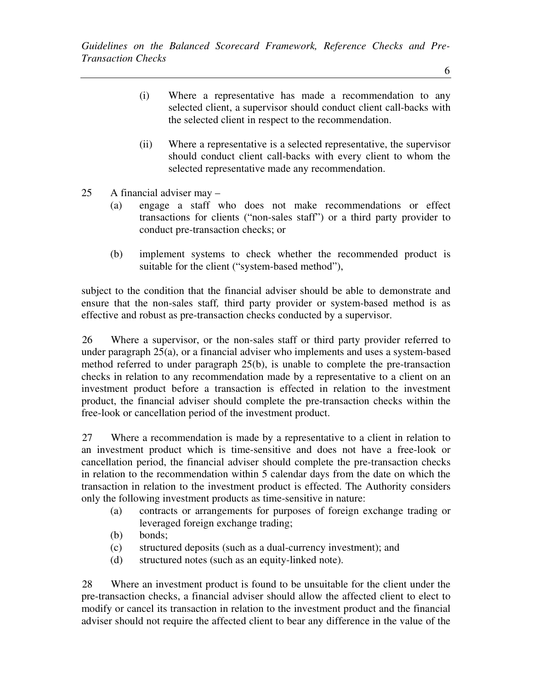- (i) Where a representative has made a recommendation to any selected client, a supervisor should conduct client call-backs with the selected client in respect to the recommendation.
- (ii) Where a representative is a selected representative, the supervisor should conduct client call-backs with every client to whom the selected representative made any recommendation.
- 25 A financial adviser may
	- (a) engage a staff who does not make recommendations or effect transactions for clients ("non-sales staff") or a third party provider to conduct pre-transaction checks; or
	- (b) implement systems to check whether the recommended product is suitable for the client ("system-based method"),

subject to the condition that the financial adviser should be able to demonstrate and ensure that the non-sales staff*,* third party provider or system-based method is as effective and robust as pre-transaction checks conducted by a supervisor.

26 Where a supervisor, or the non-sales staff or third party provider referred to under paragraph 25(a), or a financial adviser who implements and uses a system-based method referred to under paragraph 25(b), is unable to complete the pre-transaction checks in relation to any recommendation made by a representative to a client on an investment product before a transaction is effected in relation to the investment product, the financial adviser should complete the pre-transaction checks within the free-look or cancellation period of the investment product.

27 Where a recommendation is made by a representative to a client in relation to an investment product which is time-sensitive and does not have a free-look or cancellation period, the financial adviser should complete the pre-transaction checks in relation to the recommendation within 5 calendar days from the date on which the transaction in relation to the investment product is effected. The Authority considers only the following investment products as time-sensitive in nature:

- (a) contracts or arrangements for purposes of foreign exchange trading or leveraged foreign exchange trading;
- (b) bonds;
- (c) structured deposits (such as a dual-currency investment); and
- (d) structured notes (such as an equity-linked note).

28 Where an investment product is found to be unsuitable for the client under the pre-transaction checks, a financial adviser should allow the affected client to elect to modify or cancel its transaction in relation to the investment product and the financial adviser should not require the affected client to bear any difference in the value of the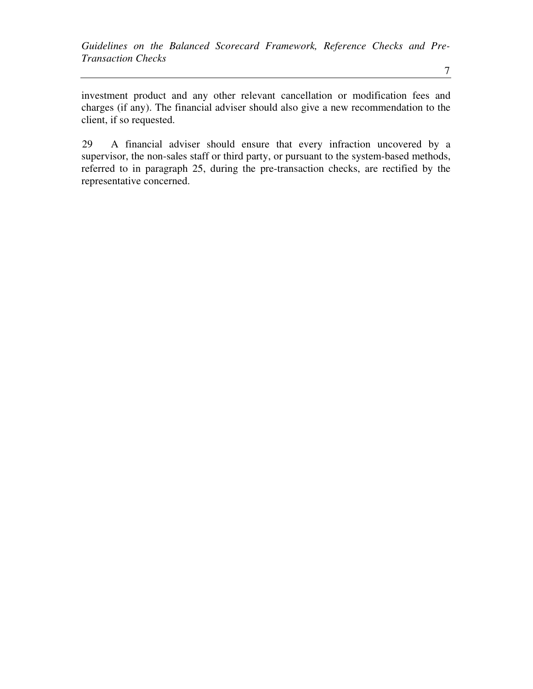investment product and any other relevant cancellation or modification fees and charges (if any). The financial adviser should also give a new recommendation to the client, if so requested.

29 A financial adviser should ensure that every infraction uncovered by a supervisor, the non-sales staff or third party, or pursuant to the system-based methods, referred to in paragraph 25, during the pre-transaction checks, are rectified by the representative concerned.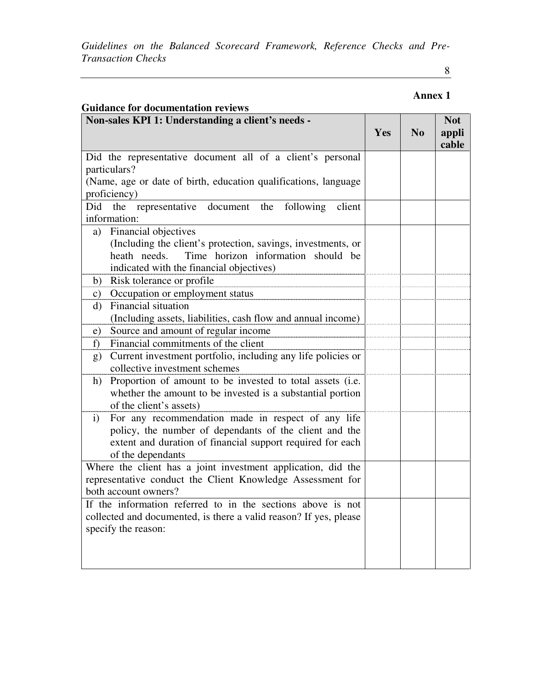8

# **Annex 1**

| <b>Guidance for documentation reviews</b>                                       |     |                |                              |
|---------------------------------------------------------------------------------|-----|----------------|------------------------------|
| Non-sales KPI 1: Understanding a client's needs -                               | Yes | N <sub>0</sub> | <b>Not</b><br>appli<br>cable |
| Did the representative document all of a client's personal                      |     |                |                              |
| particulars?                                                                    |     |                |                              |
| (Name, age or date of birth, education qualifications, language<br>proficiency) |     |                |                              |
| Did<br>document the<br>following<br>the representative<br>client                |     |                |                              |
| information:                                                                    |     |                |                              |
| Financial objectives<br>a)                                                      |     |                |                              |
| (Including the client's protection, savings, investments, or                    |     |                |                              |
| Time horizon information should be<br>heath needs.                              |     |                |                              |
| indicated with the financial objectives)                                        |     |                |                              |
| Risk tolerance or profile<br>b)                                                 |     |                |                              |
| Occupation or employment status<br>c)                                           |     |                |                              |
| Financial situation<br>d)                                                       |     |                |                              |
| (Including assets, liabilities, cash flow and annual income)                    |     |                |                              |
| Source and amount of regular income<br>e)                                       |     |                |                              |
| Financial commitments of the client<br>f                                        |     |                |                              |
| Current investment portfolio, including any life policies or<br>g)              |     |                |                              |
| collective investment schemes                                                   |     |                |                              |
| Proportion of amount to be invested to total assets (i.e.<br>h)                 |     |                |                              |
| whether the amount to be invested is a substantial portion                      |     |                |                              |
| of the client's assets)                                                         |     |                |                              |
| For any recommendation made in respect of any life<br>$\mathbf{i}$              |     |                |                              |
| policy, the number of dependants of the client and the                          |     |                |                              |
| extent and duration of financial support required for each                      |     |                |                              |
| of the dependants                                                               |     |                |                              |
| Where the client has a joint investment application, did the                    |     |                |                              |
| representative conduct the Client Knowledge Assessment for                      |     |                |                              |
| both account owners?                                                            |     |                |                              |
| If the information referred to in the sections above is not                     |     |                |                              |
| collected and documented, is there a valid reason? If yes, please               |     |                |                              |
| specify the reason:                                                             |     |                |                              |
|                                                                                 |     |                |                              |
|                                                                                 |     |                |                              |
|                                                                                 |     |                |                              |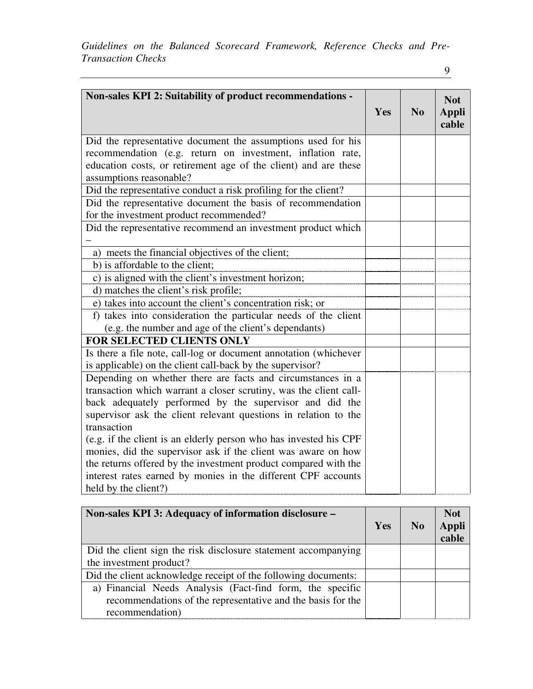| Non-sales KPI 2: Suitability of product recommendations -         | Yes | No | <b>Not</b><br>Appli<br>cable |
|-------------------------------------------------------------------|-----|----|------------------------------|
| Did the representative document the assumptions used for his      |     |    |                              |
| recommendation (e.g. return on investment, inflation rate,        |     |    |                              |
| education costs, or retirement age of the client) and are these   |     |    |                              |
| assumptions reasonable?                                           |     |    |                              |
| Did the representative conduct a risk profiling for the client?   |     |    |                              |
| Did the representative document the basis of recommendation       |     |    |                              |
| for the investment product recommended?                           |     |    |                              |
| Did the representative recommend an investment product which      |     |    |                              |
|                                                                   |     |    |                              |
| a) meets the financial objectives of the client;                  |     |    |                              |
| b) is affordable to the client;                                   |     |    |                              |
| c) is aligned with the client's investment horizon;               |     |    |                              |
| d) matches the client's risk profile;                             |     |    |                              |
| e) takes into account the client's concentration risk; or         |     |    |                              |
| f) takes into consideration the particular needs of the client    |     |    |                              |
| (e.g. the number and age of the client's dependants)              |     |    |                              |
| FOR SELECTED CLIENTS ONLY                                         |     |    |                              |
| Is there a file note, call-log or document annotation (whichever  |     |    |                              |
| is applicable) on the client call-back by the supervisor?         |     |    |                              |
| Depending on whether there are facts and circumstances in a       |     |    |                              |
| transaction which warrant a closer scrutiny, was the client call- |     |    |                              |
| back adequately performed by the supervisor and did the           |     |    |                              |
| supervisor ask the client relevant questions in relation to the   |     |    |                              |
| transaction                                                       |     |    |                              |
| (e.g. if the client is an elderly person who has invested his CPF |     |    |                              |
| monies, did the supervisor ask if the client was aware on how     |     |    |                              |
| the returns offered by the investment product compared with the   |     |    |                              |
| interest rates earned by monies in the different CPF accounts     |     |    |                              |
| held by the client?)                                              |     |    |                              |

| Non-sales KPI 3: Adequacy of information disclosure –          | Yes | N <sub>0</sub> | <b>Not</b><br>Appli<br>cable |
|----------------------------------------------------------------|-----|----------------|------------------------------|
| Did the client sign the risk disclosure statement accompanying |     |                |                              |
| the investment product?                                        |     |                |                              |
| Did the client acknowledge receipt of the following documents: |     |                |                              |
| a) Financial Needs Analysis (Fact-find form, the specific      |     |                |                              |
| recommendations of the representative and the basis for the    |     |                |                              |
| recommendation)                                                |     |                |                              |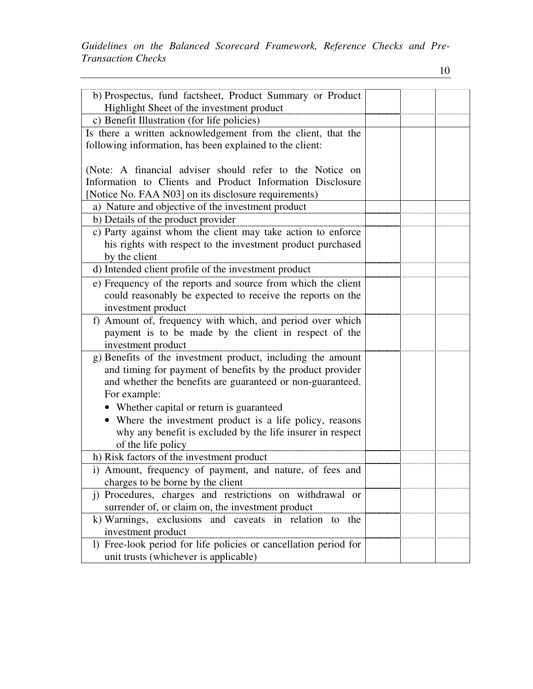| b) Prospectus, fund factsheet, Product Summary or Product        |  |  |
|------------------------------------------------------------------|--|--|
| Highlight Sheet of the investment product                        |  |  |
| c) Benefit Illustration (for life policies)                      |  |  |
| Is there a written acknowledgement from the client, that the     |  |  |
| following information, has been explained to the client:         |  |  |
|                                                                  |  |  |
| (Note: A financial adviser should refer to the Notice on         |  |  |
| Information to Clients and Product Information Disclosure        |  |  |
| [Notice No. FAA N03] on its disclosure requirements)             |  |  |
| a) Nature and objective of the investment product                |  |  |
| b) Details of the product provider                               |  |  |
| c) Party against whom the client may take action to enforce      |  |  |
|                                                                  |  |  |
| his rights with respect to the investment product purchased      |  |  |
| by the client                                                    |  |  |
| d) Intended client profile of the investment product             |  |  |
| e) Frequency of the reports and source from which the client     |  |  |
| could reasonably be expected to receive the reports on the       |  |  |
| investment product                                               |  |  |
| f) Amount of, frequency with which, and period over which        |  |  |
| payment is to be made by the client in respect of the            |  |  |
| investment product                                               |  |  |
| g) Benefits of the investment product, including the amount      |  |  |
| and timing for payment of benefits by the product provider       |  |  |
| and whether the benefits are guaranteed or non-guaranteed.       |  |  |
| For example:                                                     |  |  |
| • Whether capital or return is guaranteed                        |  |  |
|                                                                  |  |  |
| • Where the investment product is a life policy, reasons         |  |  |
| why any benefit is excluded by the life insurer in respect       |  |  |
| of the life policy                                               |  |  |
| h) Risk factors of the investment product                        |  |  |
| i) Amount, frequency of payment, and nature, of fees and         |  |  |
| charges to be borne by the client                                |  |  |
| j) Procedures, charges and restrictions on withdrawal or         |  |  |
| surrender of, or claim on, the investment product                |  |  |
| k) Warnings, exclusions and caveats in relation to the           |  |  |
| investment product                                               |  |  |
| 1) Free-look period for life policies or cancellation period for |  |  |
| unit trusts (whichever is applicable)                            |  |  |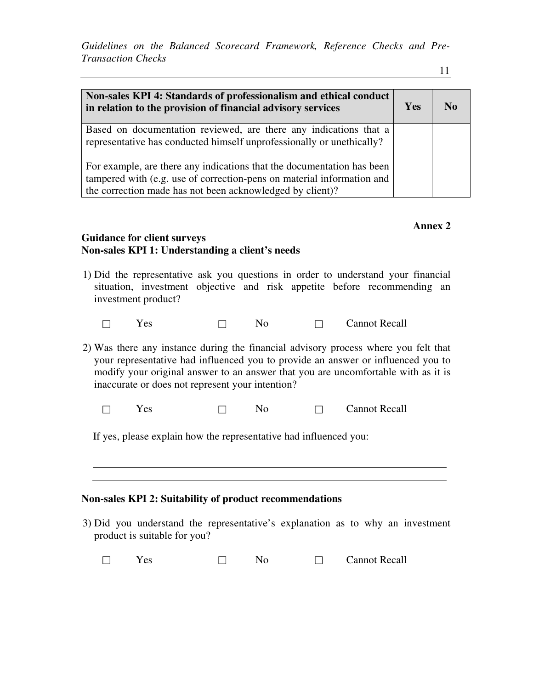11

| Non-sales KPI 4: Standards of professionalism and ethical conduct<br>in relation to the provision of financial advisory services                                                                              | <b>Yes</b> | No |
|---------------------------------------------------------------------------------------------------------------------------------------------------------------------------------------------------------------|------------|----|
| Based on documentation reviewed, are there any indications that a<br>representative has conducted himself unprofessionally or unethically?                                                                    |            |    |
| For example, are there any indications that the documentation has been<br>tampered with (e.g. use of correction-pens on material information and<br>the correction made has not been acknowledged by client)? |            |    |

# **Annex 2**

## **Guidance for client surveys Non-sales KPI 1: Understanding a client's needs**

- 1) Did the representative ask you questions in order to understand your financial situation, investment objective and risk appetite before recommending an investment product?
	- $\Box$  Yes  $\Box$  No  $\Box$  Cannot Recall

2) Was there any instance during the financial advisory process where you felt that your representative had influenced you to provide an answer or influenced you to modify your original answer to an answer that you are uncomfortable with as it is inaccurate or does not represent your intention?

 $\Box$  Yes  $\Box$  No  $\Box$  Cannot Recall

If yes, please explain how the representative had influenced you:

#### **Non-sales KPI 2: Suitability of product recommendations**

- 3) Did you understand the representative's explanation as to why an investment product is suitable for you?
	- $\Box$  Yes  $\Box$  No  $\Box$  Cannot Recall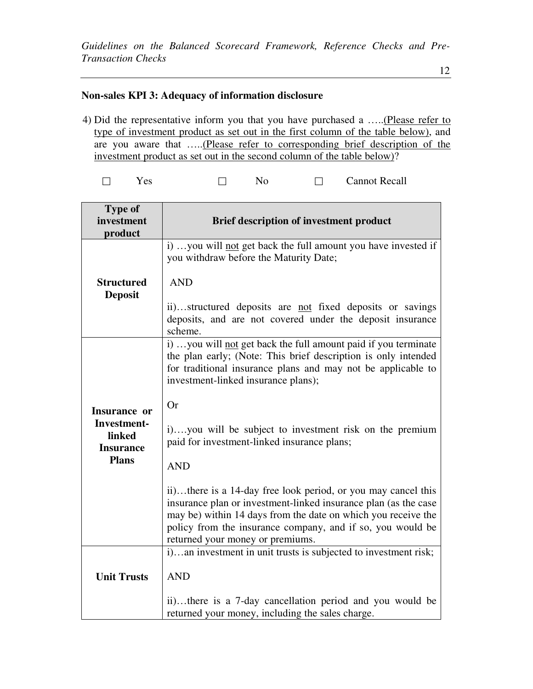# **Non-sales KPI 3: Adequacy of information disclosure**

4) Did the representative inform you that you have purchased a …..(Please refer to type of investment product as set out in the first column of the table below), and are you aware that …..(Please refer to corresponding brief description of the investment product as set out in the second column of the table below)?

|  | es |  |  |  | <b>Cannot Recall</b> |
|--|----|--|--|--|----------------------|
|--|----|--|--|--|----------------------|

| <b>Type of</b><br>investment<br>product                   | <b>Brief description of investment product</b>                                                                                                                                                                                                                                                      |
|-----------------------------------------------------------|-----------------------------------------------------------------------------------------------------------------------------------------------------------------------------------------------------------------------------------------------------------------------------------------------------|
|                                                           | i) you will not get back the full amount you have invested if<br>you withdraw before the Maturity Date;                                                                                                                                                                                             |
| <b>Structured</b><br><b>Deposit</b>                       | <b>AND</b>                                                                                                                                                                                                                                                                                          |
|                                                           | ii)structured deposits are not fixed deposits or savings<br>deposits, and are not covered under the deposit insurance<br>scheme.                                                                                                                                                                    |
|                                                           | i) you will not get back the full amount paid if you terminate<br>the plan early; (Note: This brief description is only intended<br>for traditional insurance plans and may not be applicable to<br>investment-linked insurance plans);                                                             |
| Insurance or<br>Investment-<br>linked<br><b>Insurance</b> | <b>Or</b><br>i)you will be subject to investment risk on the premium<br>paid for investment-linked insurance plans;                                                                                                                                                                                 |
| <b>Plans</b>                                              | <b>AND</b>                                                                                                                                                                                                                                                                                          |
|                                                           | ii)there is a 14-day free look period, or you may cancel this<br>insurance plan or investment-linked insurance plan (as the case<br>may be) within 14 days from the date on which you receive the<br>policy from the insurance company, and if so, you would be<br>returned your money or premiums. |
|                                                           | i)an investment in unit trusts is subjected to investment risk;                                                                                                                                                                                                                                     |
| <b>Unit Trusts</b>                                        | <b>AND</b>                                                                                                                                                                                                                                                                                          |
|                                                           | ii)there is a 7-day cancellation period and you would be<br>returned your money, including the sales charge.                                                                                                                                                                                        |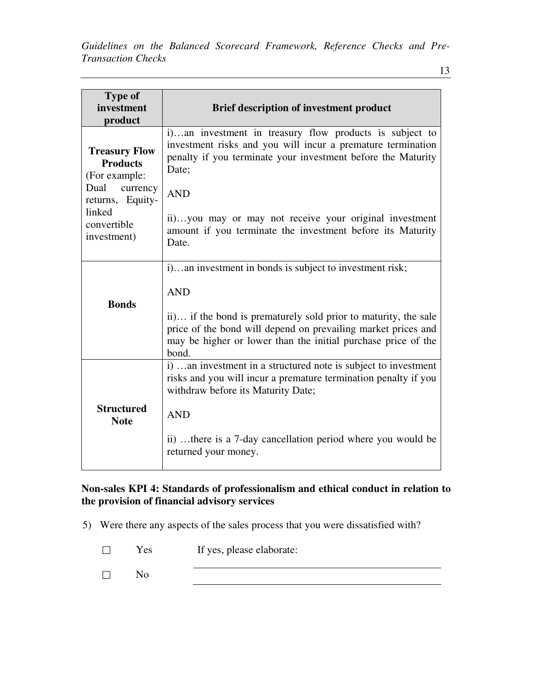| 13 |  |
|----|--|
|    |  |

| <b>Type of</b><br>investment<br>product                  | <b>Brief description of investment product</b>                                                                                                                                                             |
|----------------------------------------------------------|------------------------------------------------------------------------------------------------------------------------------------------------------------------------------------------------------------|
| <b>Treasury Flow</b><br><b>Products</b><br>(For example: | i)an investment in treasury flow products is subject to<br>investment risks and you will incur a premature termination<br>penalty if you terminate your investment before the Maturity<br>Date;            |
| Dual currency<br>returns, Equity-                        | <b>AND</b>                                                                                                                                                                                                 |
| linked<br>convertible<br>investment)                     | ii)you may or may not receive your original investment<br>amount if you terminate the investment before its Maturity<br>Date.                                                                              |
|                                                          | i)an investment in bonds is subject to investment risk;                                                                                                                                                    |
| <b>Bonds</b>                                             | <b>AND</b>                                                                                                                                                                                                 |
|                                                          | ii) if the bond is prematurely sold prior to maturity, the sale<br>price of the bond will depend on prevailing market prices and<br>may be higher or lower than the initial purchase price of the<br>bond. |
|                                                          | i)  an investment in a structured note is subject to investment<br>risks and you will incur a premature termination penalty if you<br>withdraw before its Maturity Date;                                   |
| <b>Structured</b><br><b>Note</b>                         | <b>AND</b>                                                                                                                                                                                                 |
|                                                          | ii) there is a 7-day cancellation period where you would be<br>returned your money.                                                                                                                        |

# **Non-sales KPI 4: Standards of professionalism and ethical conduct in relation to the provision of financial advisory services**

- 5) Were there any aspects of the sales process that you were dissatisfied with?
	- $\Box$  Yes If yes, please elaborate: No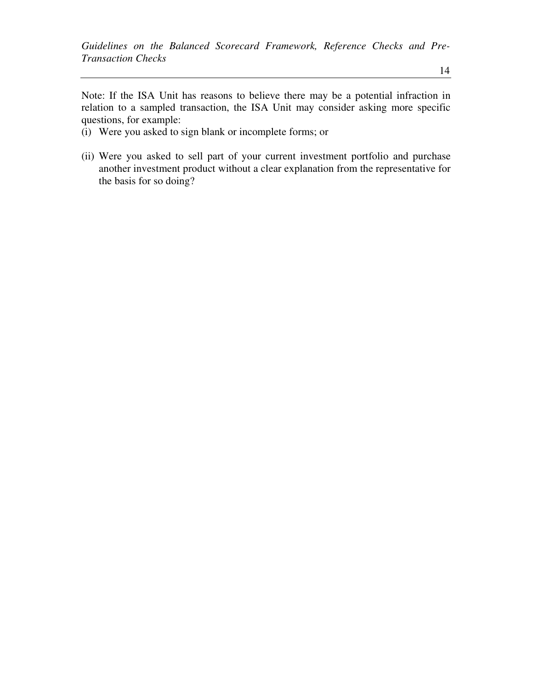Note: If the ISA Unit has reasons to believe there may be a potential infraction in relation to a sampled transaction, the ISA Unit may consider asking more specific questions, for example:

- (i) Were you asked to sign blank or incomplete forms; or
- (ii) Were you asked to sell part of your current investment portfolio and purchase another investment product without a clear explanation from the representative for the basis for so doing?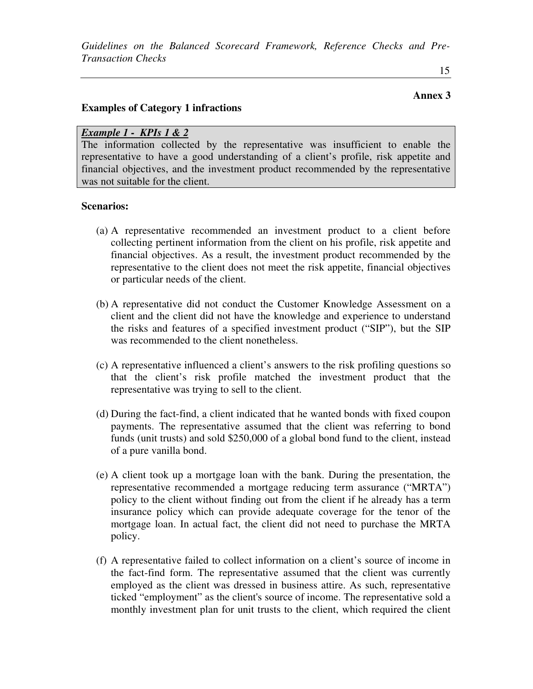#### **Annex 3**

## **Examples of Category 1 infractions**

#### *Example 1 - KPIs 1 & 2*

The information collected by the representative was insufficient to enable the representative to have a good understanding of a client's profile, risk appetite and financial objectives, and the investment product recommended by the representative was not suitable for the client.

#### **Scenarios:**

- (a) A representative recommended an investment product to a client before collecting pertinent information from the client on his profile, risk appetite and financial objectives. As a result, the investment product recommended by the representative to the client does not meet the risk appetite, financial objectives or particular needs of the client.
- (b) A representative did not conduct the Customer Knowledge Assessment on a client and the client did not have the knowledge and experience to understand the risks and features of a specified investment product ("SIP"), but the SIP was recommended to the client nonetheless.
- (c) A representative influenced a client's answers to the risk profiling questions so that the client's risk profile matched the investment product that the representative was trying to sell to the client.
- (d) During the fact-find, a client indicated that he wanted bonds with fixed coupon payments. The representative assumed that the client was referring to bond funds (unit trusts) and sold \$250,000 of a global bond fund to the client, instead of a pure vanilla bond.
- (e) A client took up a mortgage loan with the bank. During the presentation, the representative recommended a mortgage reducing term assurance ("MRTA") policy to the client without finding out from the client if he already has a term insurance policy which can provide adequate coverage for the tenor of the mortgage loan. In actual fact, the client did not need to purchase the MRTA policy.
- (f) A representative failed to collect information on a client's source of income in the fact-find form. The representative assumed that the client was currently employed as the client was dressed in business attire. As such, representative ticked "employment" as the client's source of income. The representative sold a monthly investment plan for unit trusts to the client, which required the client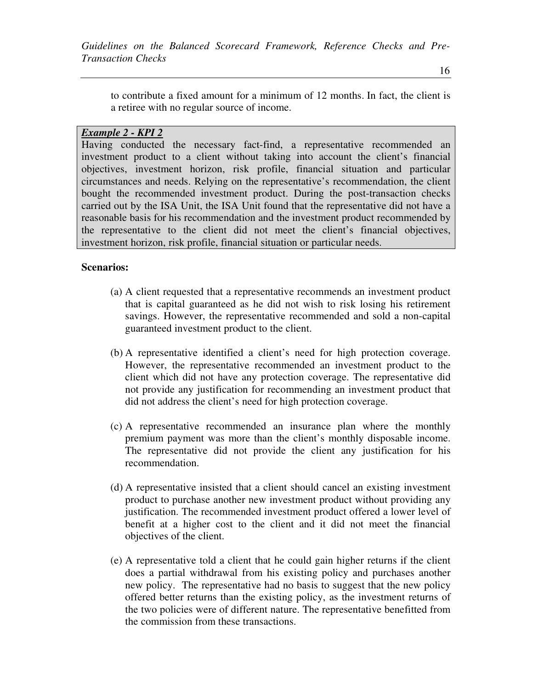to contribute a fixed amount for a minimum of 12 months. In fact, the client is a retiree with no regular source of income.

## *Example 2 - KPI 2*

Having conducted the necessary fact-find, a representative recommended an investment product to a client without taking into account the client's financial objectives, investment horizon, risk profile, financial situation and particular circumstances and needs. Relying on the representative's recommendation, the client bought the recommended investment product. During the post-transaction checks carried out by the ISA Unit, the ISA Unit found that the representative did not have a reasonable basis for his recommendation and the investment product recommended by the representative to the client did not meet the client's financial objectives, investment horizon, risk profile, financial situation or particular needs.

## **Scenarios:**

- (a) A client requested that a representative recommends an investment product that is capital guaranteed as he did not wish to risk losing his retirement savings. However, the representative recommended and sold a non-capital guaranteed investment product to the client.
- (b) A representative identified a client's need for high protection coverage. However, the representative recommended an investment product to the client which did not have any protection coverage. The representative did not provide any justification for recommending an investment product that did not address the client's need for high protection coverage.
- (c) A representative recommended an insurance plan where the monthly premium payment was more than the client's monthly disposable income. The representative did not provide the client any justification for his recommendation.
- (d) A representative insisted that a client should cancel an existing investment product to purchase another new investment product without providing any justification. The recommended investment product offered a lower level of benefit at a higher cost to the client and it did not meet the financial objectives of the client.
- (e) A representative told a client that he could gain higher returns if the client does a partial withdrawal from his existing policy and purchases another new policy. The representative had no basis to suggest that the new policy offered better returns than the existing policy, as the investment returns of the two policies were of different nature. The representative benefitted from the commission from these transactions.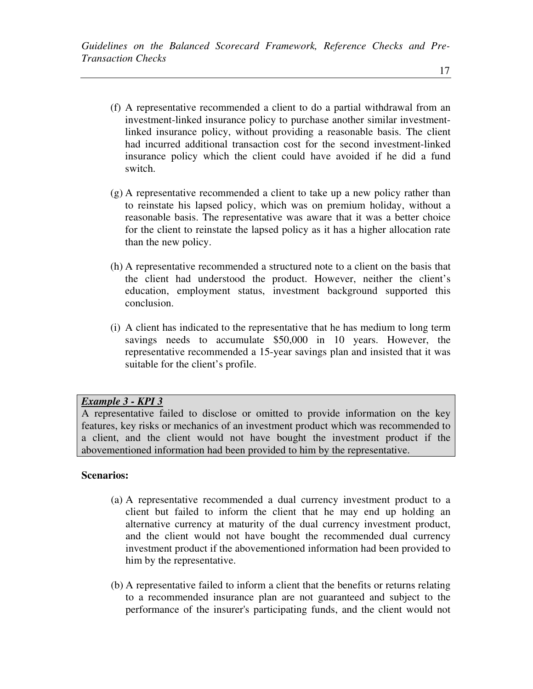- (f) A representative recommended a client to do a partial withdrawal from an investment-linked insurance policy to purchase another similar investmentlinked insurance policy, without providing a reasonable basis. The client had incurred additional transaction cost for the second investment-linked insurance policy which the client could have avoided if he did a fund switch.
- (g) A representative recommended a client to take up a new policy rather than to reinstate his lapsed policy, which was on premium holiday, without a reasonable basis. The representative was aware that it was a better choice for the client to reinstate the lapsed policy as it has a higher allocation rate than the new policy.
- (h) A representative recommended a structured note to a client on the basis that the client had understood the product. However, neither the client's education, employment status, investment background supported this conclusion.
- (i) A client has indicated to the representative that he has medium to long term savings needs to accumulate \$50,000 in 10 years. However, the representative recommended a 15-year savings plan and insisted that it was suitable for the client's profile.

## *Example 3 - KPI 3*

A representative failed to disclose or omitted to provide information on the key features, key risks or mechanics of an investment product which was recommended to a client, and the client would not have bought the investment product if the abovementioned information had been provided to him by the representative.

## **Scenarios:**

- (a) A representative recommended a dual currency investment product to a client but failed to inform the client that he may end up holding an alternative currency at maturity of the dual currency investment product, and the client would not have bought the recommended dual currency investment product if the abovementioned information had been provided to him by the representative.
- (b) A representative failed to inform a client that the benefits or returns relating to a recommended insurance plan are not guaranteed and subject to the performance of the insurer's participating funds, and the client would not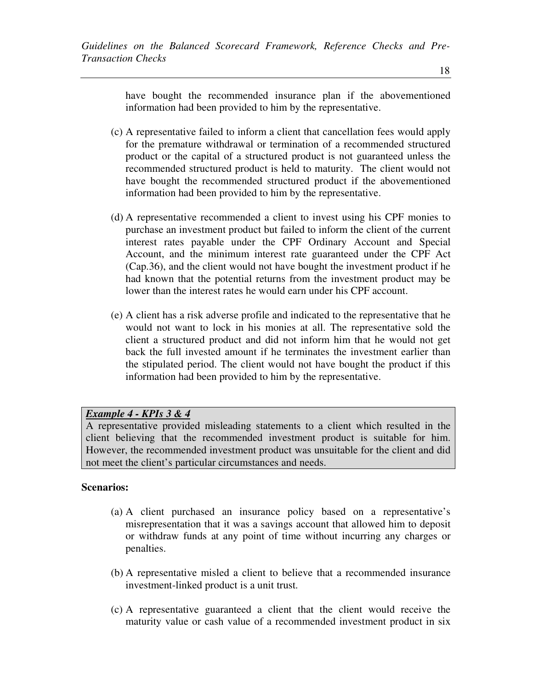have bought the recommended insurance plan if the abovementioned information had been provided to him by the representative.

- (c) A representative failed to inform a client that cancellation fees would apply for the premature withdrawal or termination of a recommended structured product or the capital of a structured product is not guaranteed unless the recommended structured product is held to maturity. The client would not have bought the recommended structured product if the abovementioned information had been provided to him by the representative.
- (d) A representative recommended a client to invest using his CPF monies to purchase an investment product but failed to inform the client of the current interest rates payable under the CPF Ordinary Account and Special Account, and the minimum interest rate guaranteed under the CPF Act (Cap.36), and the client would not have bought the investment product if he had known that the potential returns from the investment product may be lower than the interest rates he would earn under his CPF account.
- (e) A client has a risk adverse profile and indicated to the representative that he would not want to lock in his monies at all. The representative sold the client a structured product and did not inform him that he would not get back the full invested amount if he terminates the investment earlier than the stipulated period. The client would not have bought the product if this information had been provided to him by the representative.

# *Example 4 - KPIs 3 & 4*

A representative provided misleading statements to a client which resulted in the client believing that the recommended investment product is suitable for him. However, the recommended investment product was unsuitable for the client and did not meet the client's particular circumstances and needs.

# **Scenarios:**

- (a) A client purchased an insurance policy based on a representative's misrepresentation that it was a savings account that allowed him to deposit or withdraw funds at any point of time without incurring any charges or penalties.
- (b) A representative misled a client to believe that a recommended insurance investment-linked product is a unit trust.
- (c) A representative guaranteed a client that the client would receive the maturity value or cash value of a recommended investment product in six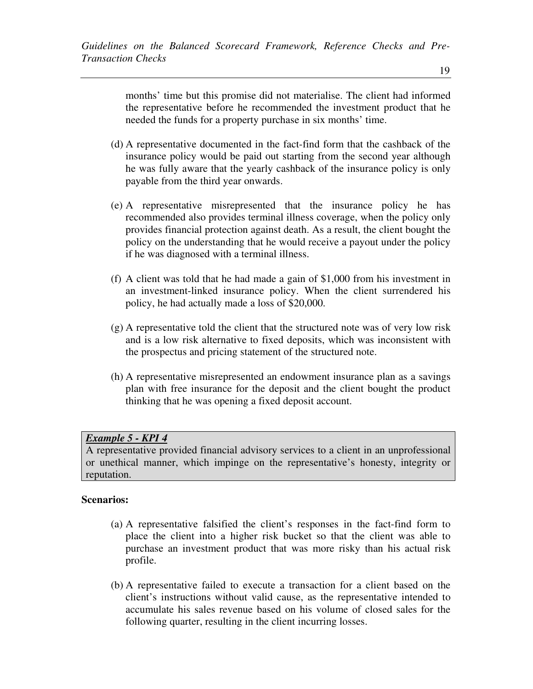months' time but this promise did not materialise. The client had informed the representative before he recommended the investment product that he needed the funds for a property purchase in six months' time.

- (d) A representative documented in the fact-find form that the cashback of the insurance policy would be paid out starting from the second year although he was fully aware that the yearly cashback of the insurance policy is only payable from the third year onwards.
- (e) A representative misrepresented that the insurance policy he has recommended also provides terminal illness coverage, when the policy only provides financial protection against death. As a result, the client bought the policy on the understanding that he would receive a payout under the policy if he was diagnosed with a terminal illness.
- (f) A client was told that he had made a gain of \$1,000 from his investment in an investment-linked insurance policy. When the client surrendered his policy, he had actually made a loss of \$20,000.
- (g) A representative told the client that the structured note was of very low risk and is a low risk alternative to fixed deposits, which was inconsistent with the prospectus and pricing statement of the structured note.
- (h) A representative misrepresented an endowment insurance plan as a savings plan with free insurance for the deposit and the client bought the product thinking that he was opening a fixed deposit account.

## *Example 5 - KPI 4*

A representative provided financial advisory services to a client in an unprofessional or unethical manner, which impinge on the representative's honesty, integrity or reputation.

## **Scenarios:**

- (a) A representative falsified the client's responses in the fact-find form to place the client into a higher risk bucket so that the client was able to purchase an investment product that was more risky than his actual risk profile.
- (b) A representative failed to execute a transaction for a client based on the client's instructions without valid cause, as the representative intended to accumulate his sales revenue based on his volume of closed sales for the following quarter, resulting in the client incurring losses.